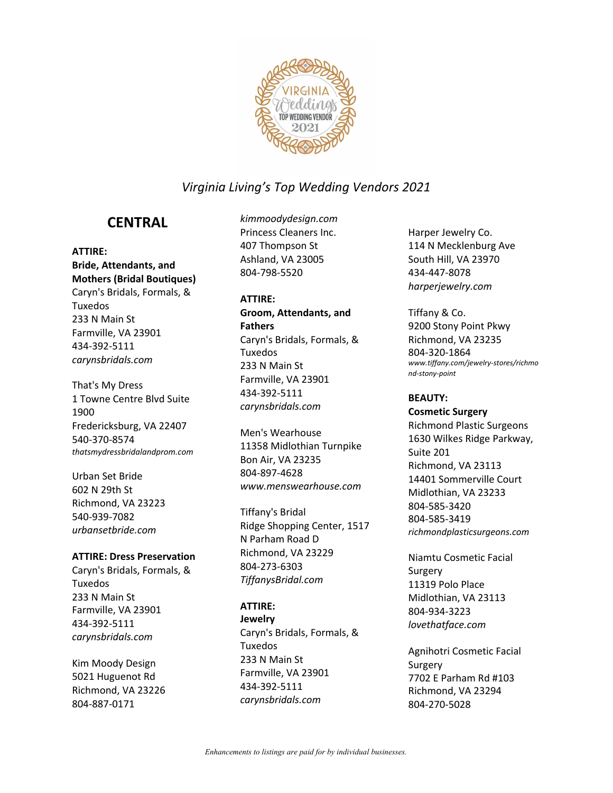

## **CENTRAL**

#### **ATTIRE:**

**Bride, Attendants, and Mothers (Bridal Boutiques)** Caryn's Bridals, Formals, & Tuxedos 233 N Main St Farmville, VA 23901 434-392-5111 *carynsbridals.com*

That's My Dress 1 Towne Centre Blvd Suite 1900 Fredericksburg, VA 22407 540-370-8574 *thatsmydressbridalandprom.com* 

Urban Set Bride 602 N 29th St Richmond, VA 23223 540-939-7082 *urbansetbride.com*

#### **ATTIRE: Dress Preservation**

Caryn's Bridals, Formals, & Tuxedos 233 N Main St Farmville, VA 23901 434-392-5111 *carynsbridals.com*

Kim Moody Design 5021 Huguenot Rd Richmond, VA 23226 804-887-0171

*kimmoodydesign.com* Princess Cleaners Inc. 407 Thompson St Ashland, VA 23005 804-798-5520

#### **ATTIRE:**

**Groom, Attendants, and Fathers** Caryn's Bridals, Formals, & Tuxedos 233 N Main St Farmville, VA 23901 434-392-5111 *carynsbridals.com*

Men's Wearhouse 11358 Midlothian Turnpike Bon Air, VA 23235 804-897-4628 *www.menswearhouse.com*

Tiffany's Bridal Ridge Shopping Center, 1517 N Parham Road D Richmond, VA 23229 804-273-6303 *TiffanysBridal.com*

#### **ATTIRE:**

**Jewelry** Caryn's Bridals, Formals, & Tuxedos 233 N Main St Farmville, VA 23901 434-392-5111 *carynsbridals.com*

Harper Jewelry Co. 114 N Mecklenburg Ave South Hill, VA 23970 434-447-8078 *harperjewelry.com*

Tiffany & Co. 9200 Stony Point Pkwy Richmond, VA 23235 804-320-1864 *www.tiffany.com/jewelry-stores/richmo nd-stony-point*

#### **BEAUTY:**

**Cosmetic Surgery** Richmond Plastic Surgeons 1630 Wilkes Ridge Parkway, Suite 201 Richmond, VA 23113 14401 Sommerville Court Midlothian, VA 23233 804-585-3420 804-585-3419 *richmondplasticsurgeons.com*

Niamtu Cosmetic Facial Surgery 11319 Polo Place Midlothian, VA 23113 804-934-3223 *lovethatface.com*

Agnihotri Cosmetic Facial Surgery 7702 E Parham Rd #103 Richmond, VA 23294 804-270-5028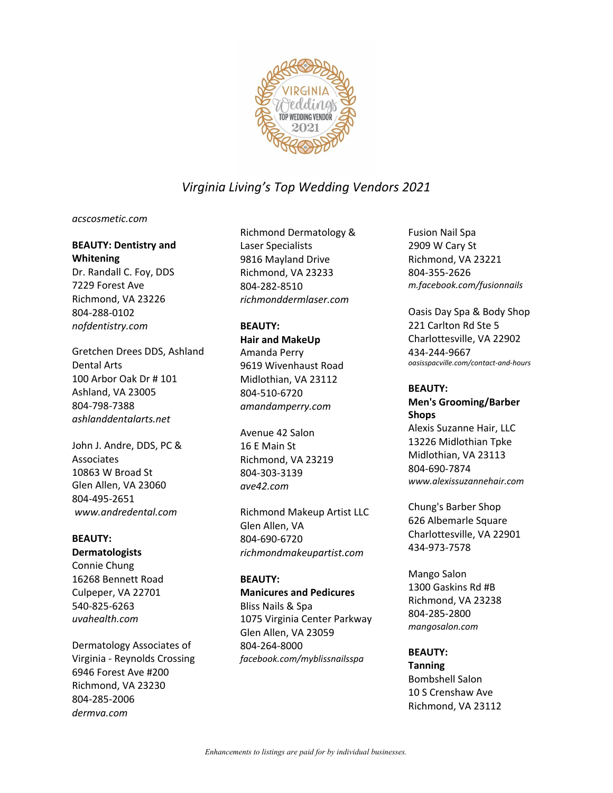

#### *acscosmetic.com*

#### **BEAUTY: Dentistry and Whitening**

Dr. Randall C. Foy, DDS 7229 Forest Ave Richmond, VA 23226 804-288-0102 *nofdentistry.com*

Gretchen Drees DDS, Ashland Dental Arts 100 Arbor Oak Dr # 101 Ashland, VA 23005 804-798-7388 *ashlanddentalarts.net*

John J. Andre, DDS, PC & Associates 10863 W Broad St Glen Allen, VA 23060 804-495-2651 *www.andredental.com*

#### **BEAUTY:**

#### **Dermatologists**

Connie Chung 16268 Bennett Road Culpeper, VA 22701 540-825-6263 *uvahealth.com*

Dermatology Associates of Virginia - Reynolds Crossing 6946 Forest Ave #200 Richmond, VA 23230 804-285-2006 *dermva.com*

Richmond Dermatology & Laser Specialists 9816 Mayland Drive Richmond, VA 23233 804-282-8510 *richmonddermlaser.com*

#### **BEAUTY:**

**Hair and MakeUp** Amanda Perry 9619 Wivenhaust Road Midlothian, VA 23112 804-510-6720 *amandamperry.com*

Avenue 42 Salon 16 E Main St Richmond, VA 23219 804-303-3139 *ave42.com*

Richmond Makeup Artist LLC Glen Allen, VA 804-690-6720 *richmondmakeupartist.com*

#### **BEAUTY:**

**Manicures and Pedicures** Bliss Nails & Spa 1075 Virginia Center Parkway Glen Allen, VA 23059 804-264-8000 *facebook.com/myblissnailsspa*

Fusion Nail Spa 2909 W Cary St Richmond, VA 23221 804-355-2626 *m.facebook.com/fusionnails*

Oasis Day Spa & Body Shop 221 Carlton Rd Ste 5 Charlottesville, VA 22902 434-244-9667 *oasisspacville.com/contact-and-hours*

#### **BEAUTY:**

**Men's Grooming/Barber Shops** Alexis Suzanne Hair, LLC 13226 Midlothian Tpke Midlothian, VA 23113 804-690-7874 *www.alexissuzannehair.com*

Chung's Barber Shop 626 Albemarle Square Charlottesville, VA 22901 434-973-7578

Mango Salon 1300 Gaskins Rd #B Richmond, VA 23238 804-285-2800 *mangosalon.com*

#### **BEAUTY:**

**Tanning** Bombshell Salon 10 S Crenshaw Ave Richmond, VA 23112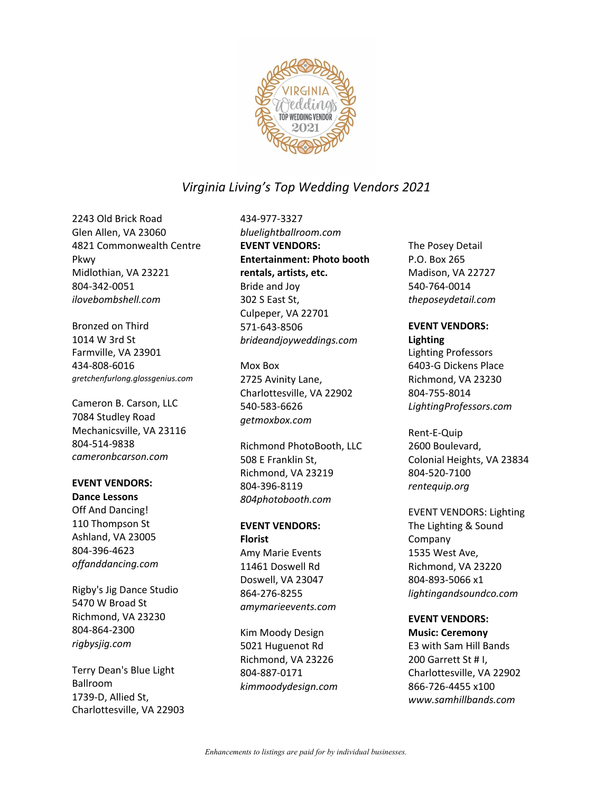

2243 Old Brick Road Glen Allen, VA 23060 4821 Commonwealth Centre Pkwy Midlothian, VA 23221 804-342-0051 *ilovebombshell.com*

Bronzed on Third 1014 W 3rd St Farmville, VA 23901 434-808-6016 *gretchenfurlong.glossgenius.com* 

Cameron B. Carson, LLC 7084 Studley Road Mechanicsville, VA 23116 804-514-9838 *cameronbcarson.com*

#### **EVENT VENDORS: Dance Lessons**

Off And Dancing! 110 Thompson St Ashland, VA 23005 804-396-4623 *offanddancing.com*

Rigby's Jig Dance Studio 5470 W Broad St Richmond, VA 23230 804-864-2300 *rigbysjig.com*

Terry Dean's Blue Light Ballroom 1739-D, Allied St, Charlottesville, VA 22903 434-977-3327 *bluelightballroom.com* **EVENT VENDORS: Entertainment: Photo booth rentals, artists, etc.** Bride and Joy 302 S East St, Culpeper, VA 22701 571-643-8506 *brideandjoyweddings.com*

Mox Box 2725 Avinity Lane, Charlottesville, VA 22902 540-583-6626 *getmoxbox.com*

Richmond PhotoBooth, LLC 508 E Franklin St, Richmond, VA 23219 804-396-8119 *804photobooth.com*

#### **EVENT VENDORS: Florist** Amy Marie Events 11461 Doswell Rd Doswell, VA 23047

864-276-8255 *amymarieevents.com*

Kim Moody Design 5021 Huguenot Rd Richmond, VA 23226 804-887-0171 *kimmoodydesign.com* The Posey Detail P.O. Box 265 Madison, VA 22727 540-764-0014 *theposeydetail.com*

## **EVENT VENDORS:**

**Lighting**

Lighting Professors 6403-G Dickens Place Richmond, VA 23230 804-755-8014 *LightingProfessors.com*

Rent-E-Quip 2600 Boulevard, Colonial Heights, VA 23834 804-520-7100 *rentequip.org*

EVENT VENDORS: Lighting The Lighting & Sound Company 1535 West Ave, Richmond, VA 23220 804-893-5066 x1 *lightingandsoundco.com*

#### **EVENT VENDORS:**

**Music: Ceremony** E3 with Sam Hill Bands 200 Garrett St # I, Charlottesville, VA 22902 866-726-4455 x100 *www.samhillbands.com*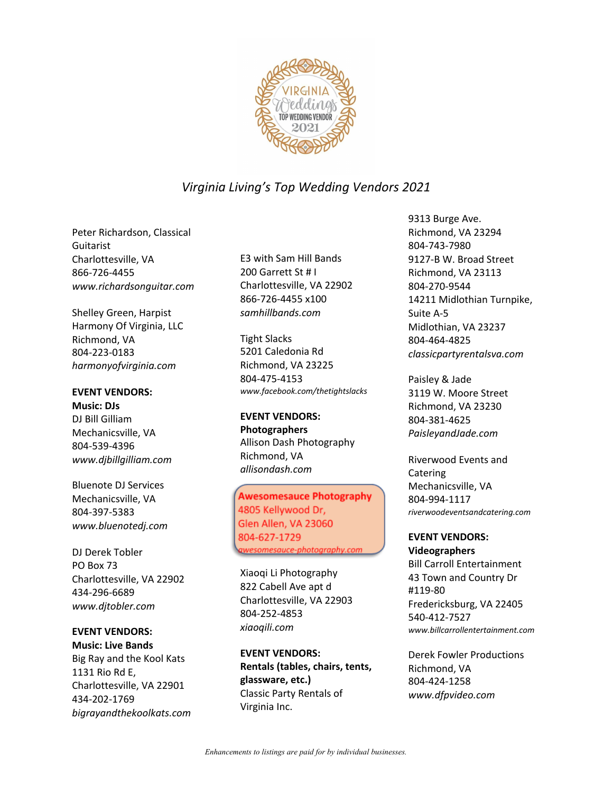

Peter Richardson, Classical **Guitarist** Charlottesville, VA 866-726-4455 *www.richardsonguitar.com*

Shelley Green, Harpist Harmony Of Virginia, LLC Richmond, VA 804-223-0183 *harmonyofvirginia.com*

#### **EVENT VENDORS:**

**Music: DJs** DJ Bill Gilliam Mechanicsville, VA 804-539-4396 *www.djbillgilliam.com*

Bluenote DJ Services Mechanicsville, VA 804-397-5383 *www.bluenotedj.com*

DJ Derek Tobler PO Box 73 Charlottesville, VA 22902 434-296-6689 *www.djtobler.com*

## **EVENT VENDORS:**

**Music: Live Bands** Big Ray and the Kool Kats 1131 Rio Rd E, Charlottesville, VA 22901 434-202-1769 *bigrayandthekoolkats.com* E3 with Sam Hill Bands 200 Garrett St # I Charlottesville, VA 22902 866-726-4455 x100 *samhillbands.com*

Tight Slacks 5201 Caledonia Rd Richmond, VA 23225 804-475-4153 *www.facebook.com/thetightslacks* 

**EVENT VENDORS: Photographers** Allison Dash Photography Richmond, VA *allisondash.com*

#### Awesomesauce Photography 4805 Kellywood Dr, Glen Allen, VA 23060 804-627-1729

*awesomesauce-photography.com*

Xiaoqi Li Photography 822 Cabell Ave apt d Charlottesville, VA 22903 804-252-4853 *xiaoqili.com*

**EVENT VENDORS: Rentals (tables, chairs, tents, glassware, etc.)** Classic Party Rentals of Virginia Inc.

9313 Burge Ave. Richmond, VA 23294 804-743-7980 9127-B W. Broad Street Richmond, VA 23113 804-270-9544 14211 Midlothian Turnpike, Suite A-5 Midlothian, VA 23237 804-464-4825 *classicpartyrentalsva.com*

Paisley & Jade 3119 W. Moore Street Richmond, VA 23230 804-381-4625 *PaisleyandJade.com*

Riverwood Events and Catering Mechanicsville, VA 804-994-1117 *riverwoodeventsandcatering.com* 

## **EVENT VENDORS:**

**Videographers** Bill Carroll Entertainment 43 Town and Country Dr #119-80 Fredericksburg, VA 22405 540-412-7527 *www.billcarrollentertainment.com* 

Derek Fowler Productions Richmond, VA 804-424-1258 *www.dfpvideo.com*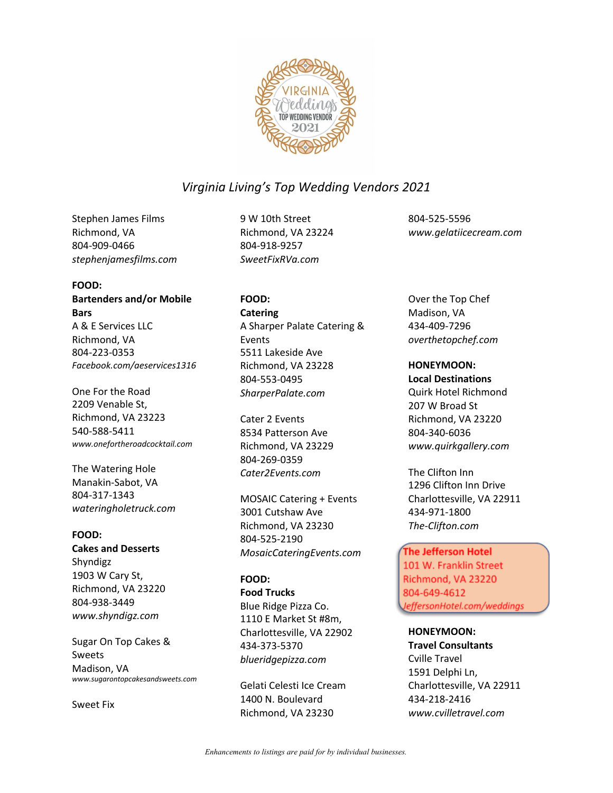

Stephen James Films Richmond, VA 804-909-0466 *stephenjamesfilms.com*

#### **FOOD:**

**Bartenders and/or Mobile Bars** A & E Services LLC Richmond, VA 804-223-0353 *Facebook.com/aeservices1316*

One For the Road 2209 Venable St, Richmond, VA 23223 540-588-5411 *www.onefortheroadcocktail.com* 

The Watering Hole Manakin-Sabot, VA 804-317-1343 *wateringholetruck.com*

#### **FOOD:**

**Cakes and Desserts** Shyndigz 1903 W Cary St, Richmond, VA 23220 804-938-3449 *www.shyndigz.com*

Sugar On Top Cakes & Sweets Madison, VA *www.sugarontopcakesandsweets.com*

Sweet Fix

9 W 10th Street Richmond, VA 23224 804-918-9257 *SweetFixRVa.com*

## **FOOD:**

**Catering** A Sharper Palate Catering & Events 5511 Lakeside Ave Richmond, VA 23228 804-553-0495 *SharperPalate.com*

Cater 2 Events 8534 Patterson Ave Richmond, VA 23229 804-269-0359 *Cater2Events.com*

MOSAIC Catering + Events 3001 Cutshaw Ave Richmond, VA 23230 804-525-2190 *MosaicCateringEvents.com*

#### **FOOD:**

**Food Trucks** Blue Ridge Pizza Co. 1110 E Market St #8m, Charlottesville, VA 22902 434-373-5370 *blueridgepizza.com*

Gelati Celesti Ice Cream 1400 N. Boulevard Richmond, VA 23230

804-525-5596 *www.gelatiicecream.com*

#### Over the Top Chef Madison, VA 434-409-7296 *overthetopchef.com*

**HONEYMOON: Local Destinations** Quirk Hotel Richmond 207 W Broad St Richmond, VA 23220 804-340-6036 *www.quirkgallery.com*

The Clifton Inn 1296 Clifton Inn Drive Charlottesville, VA 22911 434-971-1800 *The-Clifton.com*

#### The Jefferson Hotel

101 W. Franklin Street Richmond, VA 23220 804-649-4612 *JeffersonHotel.com*

**HONEYMOON:**

**Travel Consultants** Cville Travel 1591 Delphi Ln, Charlottesville, VA 22911 434-218-2416 *www.cvilletravel.com*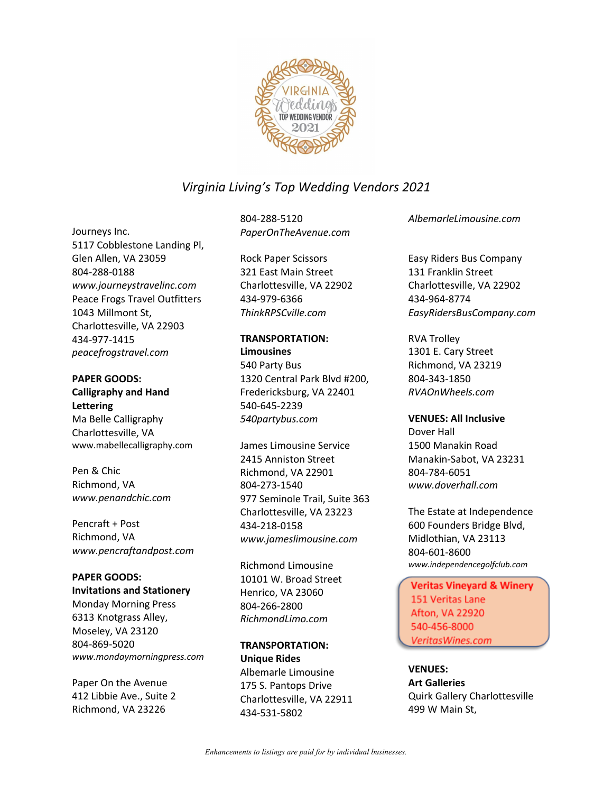

### Journeys Inc.

5117 Cobblestone Landing Pl, Glen Allen, VA 23059 804-288-0188 *www.journeystravelinc.com* Peace Frogs Travel Outfitters 1043 Millmont St, Charlottesville, VA 22903 434-977-1415 *peacefrogstravel.com*

#### **PAPER GOODS: Calligraphy and Hand Lettering** Ma Belle Calligraphy Charlottesville, VA www.mabellecalligraphy.com

Pen & Chic Richmond, VA *www.penandchic.com*

Pencraft + Post Richmond, VA *www.pencraftandpost.com*

## **PAPER GOODS:**

**Invitations and Stationery** Monday Morning Press 6313 Knotgrass Alley, Moseley, VA 23120 804-869-5020 *www.mondaymorningpress.com*

Paper On the Avenue 412 Libbie Ave., Suite 2 Richmond, VA 23226

804-288-5120 *PaperOnTheAvenue.com*

Rock Paper Scissors 321 East Main Street Charlottesville, VA 22902 434-979-6366 *ThinkRPSCville.com*

#### **TRANSPORTATION: Limousines**

540 Party Bus 1320 Central Park Blvd #200, Fredericksburg, VA 22401 540-645-2239 *540partybus.com*

James Limousine Service 2415 Anniston Street Richmond, VA 22901 804-273-1540 977 Seminole Trail, Suite 363 Charlottesville, VA 23223 434-218-0158 *www.jameslimousine.com*

Richmond Limousine 10101 W. Broad Street Henrico, VA 23060 804-266-2800 *RichmondLimo.com*

#### **TRANSPORTATION: Unique Rides** Albemarle Limousine 175 S. Pantops Drive Charlottesville, VA 22911 434-531-5802

*AlbemarleLimousine.com*

Easy Riders Bus Company 131 Franklin Street Charlottesville, VA 22902 434-964-8774 *EasyRidersBusCompany.com*

RVA Trolley 1301 E. Cary Street Richmond, VA 23219 804-343-1850 *RVAOnWheels.com*

**VENUES: All Inclusive** Dover Hall 1500 Manakin Road Manakin-Sabot, VA 23231 804-784-6051 *www.doverhall.com*

The Estate at Independence 600 Founders Bridge Blvd, Midlothian, VA 23113 804-601-8600 *www.independencegolfclub.com* 

Veritas Vineyard & Winery 151 Veritas Lane Afton, VA 22920 540-456-8000 *VeritasWines.com*

**VENUES:**

**Art Galleries** Quirk Gallery Charlottesville 499 W Main St,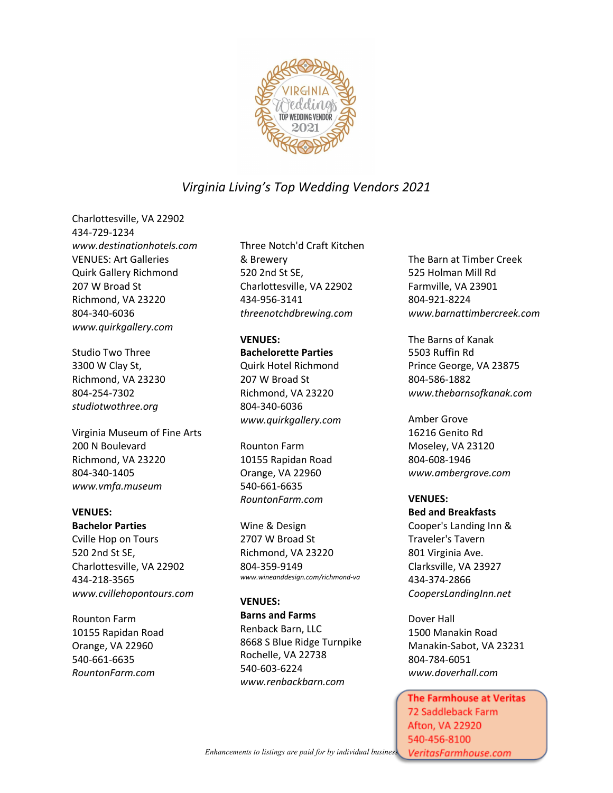

Charlottesville, VA 22902 434-729-1234 *www.destinationhotels.com* VENUES: Art Galleries Quirk Gallery Richmond 207 W Broad St Richmond, VA 23220 804-340-6036 *www.quirkgallery.com*

Studio Two Three 3300 W Clay St, Richmond, VA 23230 804-254-7302 *studiotwothree.org*

Virginia Museum of Fine Arts 200 N Boulevard Richmond, VA 23220 804-340-1405 *www.vmfa.museum*

#### **VENUES:**

**Bachelor Parties** Cville Hop on Tours 520 2nd St SE, Charlottesville, VA 22902 434-218-3565 *www.cvillehopontours.com*

Rounton Farm 10155 Rapidan Road Orange, VA 22960 540-661-6635 *RountonFarm.com*

Three Notch'd Craft Kitchen & Brewery 520 2nd St SE, Charlottesville, VA 22902 434-956-3141 *threenotchdbrewing.com*

#### **VENUES:**

**Bachelorette Parties** Quirk Hotel Richmond 207 W Broad St Richmond, VA 23220 804-340-6036 *www.quirkgallery.com*

Rounton Farm 10155 Rapidan Road Orange, VA 22960 540-661-6635 *RountonFarm.com*

Wine & Design 2707 W Broad St Richmond, VA 23220 804-359-9149 *www.wineanddesign.com/richmond-va* 

#### **VENUES:**

**Barns and Farms** Renback Barn, LLC 8668 S Blue Ridge Turnpike Rochelle, VA 22738 540-603-6224 *www.renbackbarn.com*

The Barn at Timber Creek 525 Holman Mill Rd Farmville, VA 23901 804-921-8224 *www.barnattimbercreek.com*

The Barns of Kanak 5503 Ruffin Rd Prince George, VA 23875 804-586-1882 *www.thebarnsofkanak.com*

Amber Grove 16216 Genito Rd Moseley, VA 23120 804-608-1946 *www.ambergrove.com*

#### **VENUES: Bed and Breakfasts**

Cooper's Landing Inn & Traveler's Tavern 801 Virginia Ave. Clarksville, VA 23927 434-374-2866 *CoopersLandingInn.net*

Dover Hall 1500 Manakin Road Manakin-Sabot, VA 23231 804-784-6051 *www.doverhall.com*

The Farmhouse at Veritas 72 Saddleback Farm **Afton, VA 22920** 540-456-8100 VeritasFarmhouse.com

*Enhancements to listings are paid for by individual businesses.*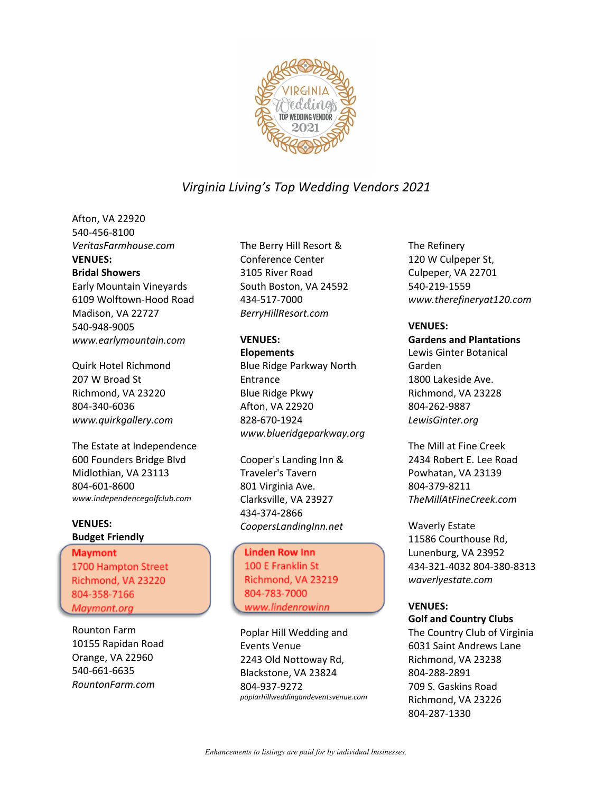

Afton, VA 22920 540-456-8100 *VeritasFarmhouse.com* **VENUES: Bridal Showers** Early Mountain Vineyards 6109 Wolftown-Hood Road

Madison, VA 22727 540-948-9005 *www.earlymountain.com*

Quirk Hotel Richmond 207 W Broad St Richmond, VA 23220 804-340-6036 *www.quirkgallery.com*

The Estate at Independence 600 Founders Bridge Blvd Midlothian, VA 23113 804-601-8600 *www.independencegolfclub.com* 

#### **VENUES: Budget Friendly**

Maymont 1700 Hampton Street Richmond, VA 23220 804-358-7166 *Maymont.org*

Rounton Farm 10155 Rapidan Road Orange, VA 22960 540-661-6635 *RountonFarm.com*

The Berry Hill Resort & Conference Center 3105 River Road South Boston, VA 24592 434-517-7000 *BerryHillResort.com*

#### **VENUES:**

**Elopements** Blue Ridge Parkway North Entrance Blue Ridge Pkwy Afton, VA 22920 828-670-1924 *www.blueridgeparkway.org*

Cooper's Landing Inn & Traveler's Tavern 801 Virginia Ave. Clarksville, VA 23927 434-374-2866 *CoopersLandingInn.net*

Linden Row Inn 100 E Franklin St Richmond, VA 23219 804-783-7000 www.lindenrowinn

Poplar Hill Wedding and Events Venue 2243 Old Nottoway Rd, Blackstone, VA 23824 804-937-9272 *poplarhillweddingandeventsvenue.com* The Refinery 120 W Culpeper St, Culpeper, VA 22701 540-219-1559 *www.therefineryat120.com*

#### **VENUES:**

**Gardens and Plantations** Lewis Ginter Botanical Garden 1800 Lakeside Ave. Richmond, VA 23228 804-262-9887 *LewisGinter.org*

The Mill at Fine Creek 2434 Robert E. Lee Road Powhatan, VA 23139 804-379-8211 *TheMillAtFineCreek.com*

Waverly Estate 11586 Courthouse Rd, Lunenburg, VA 23952 434-321-4032 804-380-8313 *waverlyestate.com*

#### **VENUES:**

**Golf and Country Clubs**

The Country Club of Virginia 6031 Saint Andrews Lane Richmond, VA 23238 804-288-2891 709 S. Gaskins Road Richmond, VA 23226 804-287-1330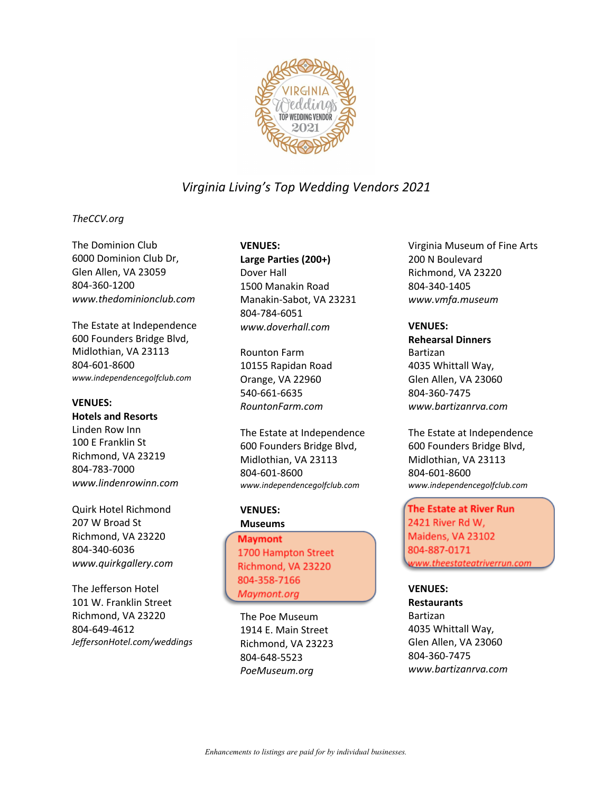

#### *TheCCV.org*

The Dominion Club 6000 Dominion Club Dr, Glen Allen, VA 23059 804-360-1200 *www.thedominionclub.com*

The Estate at Independence 600 Founders Bridge Blvd, Midlothian, VA 23113 804-601-8600 *www.independencegolfclub.com* 

#### **VENUES:**

**Hotels and Resorts**

Linden Row Inn 100 E Franklin St Richmond, VA 23219 804-783-7000 *www.lindenrowinn.com*

Quirk Hotel Richmond 207 W Broad St Richmond, VA 23220 804-340-6036 *www.quirkgallery.com*

The Jefferson Hotel 101 W. Franklin Street Richmond, VA 23220 804-649-4612 *JeffersonHotel.com/weddings*

#### **VENUES:**

**Large Parties (200+)** Dover Hall 1500 Manakin Road Manakin-Sabot, VA 23231 804-784-6051 *www.doverhall.com*

Rounton Farm 10155 Rapidan Road Orange, VA 22960 540-661-6635 *RountonFarm.com*

The Estate at Independence 600 Founders Bridge Blvd, Midlothian, VA 23113 804-601-8600 *www.independencegolfclub.com* 

**VENUES: Museums**

Maymont 1700 Hampton Street Richmond, VA 23220 804-358-7166 *Maymont.org*

The Poe Museum 1914 E. Main Street Richmond, VA 23223 804-648-5523 *PoeMuseum.org*

Virginia Museum of Fine Arts 200 N Boulevard Richmond, VA 23220 804-340-1405 *www.vmfa.museum*

#### **VENUES:**

**Rehearsal Dinners** Bartizan 4035 Whittall Way, Glen Allen, VA 23060 804-360-7475 *www.bartizanrva.com*

The Estate at Independence 600 Founders Bridge Blvd, Midlothian, VA 23113 804-601-8600 *www.independencegolfclub.com* 

The Estate at River Run 2421 River Rd W, Maidens, VA 23102 804-887-0171 *www.theestateatriverrun.com*

#### **VENUES:**

**Restaurants** Bartizan 4035 Whittall Way, Glen Allen, VA 23060 804-360-7475 *www.bartizanrva.com*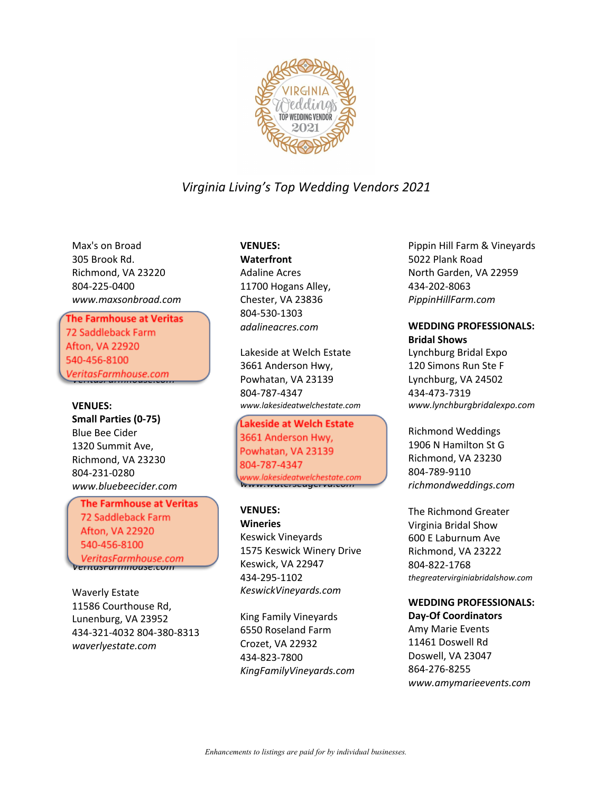

Max's on Broad 305 Brook Rd. Richmond, VA 23220 804-225-0400 *www.maxsonbroad.com*

# **The Farmhouse at Veritas**<br>72 Saddleback Farm

Afton, VA 22920 540-456-8100 70-756-8100<br>5540-8100-810 *VeritasFarmhouse.com*

#### **VENUES:**

**Small Parties (0-75)** Blue Bee Cider 1320 Summit Ave, Richmond, VA 23230 804-231-0280 *www.bluebeecider.com*

**The Farmhouse at Veritas** 72 Saddleback Farm Afton, VA 22920 540-456-8100 VeritasFarmhouse.com *VeritasFarmhouse.com*

Waverly Estate 11586 Courthouse Rd, Lunenburg, VA 23952 434-321-4032 804-380-8313 *waverlyestate.com*

#### **VENUES:**

**Waterfront** Adaline Acres 11700 Hogans Alley, Chester, VA 23836 804-530-1303 *adalineacres.com*

Lakeside at Welch Estate 3661 Anderson Hwy, Powhatan, VA 23139 804-787-4347 *www.lakesideatwelchestate.com* 

**Ĺakeside at Welch Estate**<br>3661 Anderson Hwy,  $\frac{1}{2000}$  Millerson may rownatan, VA 23133 804-787-4347<br>www.lakesideatwelchestate.com *www.watersedgerva.com*

#### **VENUES:**

**Wineries** Keswick Vineyards 1575 Keswick Winery Drive Keswick, VA 22947 434-295-1102 *KeswickVineyards.com*

King Family Vineyards 6550 Roseland Farm Crozet, VA 22932 434-823-7800 *KingFamilyVineyards.com* Pippin Hill Farm & Vineyards 5022 Plank Road North Garden, VA 22959 434-202-8063 *PippinHillFarm.com*

## **WEDDING PROFESSIONALS:**

**Bridal Shows** Lynchburg Bridal Expo 120 Simons Run Ste F Lynchburg, VA 24502 434-473-7319 *www.lynchburgbridalexpo.com*

Richmond Weddings 1906 N Hamilton St G Richmond, VA 23230 804-789-9110 *richmondweddings.com*

The Richmond Greater Virginia Bridal Show 600 E Laburnum Ave Richmond, VA 23222 804-822-1768 *thegreatervirginiabridalshow.com* 

#### **WEDDING PROFESSIONALS:**

**Day-Of Coordinators** Amy Marie Events 11461 Doswell Rd Doswell, VA 23047 864-276-8255 *www.amymarieevents.com*